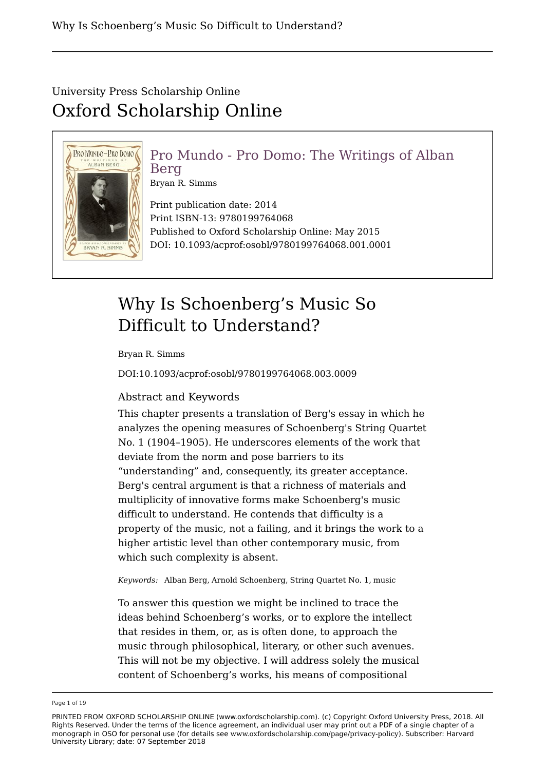# University Press Scholarship Online Oxford Scholarship Online



Pro Mundo - Pro Domo: The Writings of Alban Berg Bryan R. Simms

Print publication date: 2014 Print ISBN-13: 9780199764068 Published to Oxford Scholarship Online: May 2015 DOI: 10.1093/acprof:osobl/9780199764068.001.0001

# Why Is Schoenberg's Music So Difficult to Understand?

Bryan R. Simms

DOI:10.1093/acprof:osobl/9780199764068.003.0009

## Abstract and Keywords

This chapter presents a translation of Berg's essay in which he analyzes the opening measures of Schoenberg's String Quartet No. 1 (1904–1905). He underscores elements of the work that deviate from the norm and pose barriers to its "understanding" and, consequently, its greater acceptance. Berg's central argument is that a richness of materials and multiplicity of innovative forms make Schoenberg's music difficult to understand. He contends that difficulty is a property of the music, not a failing, and it brings the work to a higher artistic level than other contemporary music, from which such complexity is absent.

*Keywords:* Alban Berg, Arnold Schoenberg, String Quartet No. 1, music

To answer this question we might be inclined to trace the ideas behind Schoenberg's works, or to explore the intellect that resides in them, or, as is often done, to approach the music through philosophical, literary, or other such avenues. This will not be my objective. I will address solely the musical content of Schoenberg's works, his means of compositional

Page 1 of 19

PRINTED FROM OXFORD SCHOLARSHIP ONLINE (www.oxfordscholarship.com). (c) Copyright Oxford University Press, 2018. All Rights Reserved. Under the terms of the licence agreement, an individual user may print out a PDF of a single chapter of a monograph in OSO for personal use (for details see www.oxfordscholarship.com/page/privacy-policy). Subscriber: Harvard University Library; date: 07 September 2018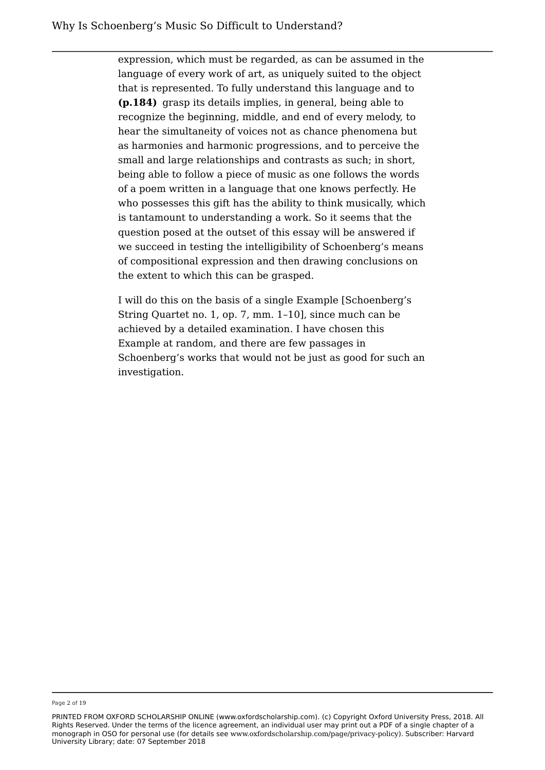expression, which must be regarded, as can be assumed in the language of every work of art, as uniquely suited to the object that is represented. To fully understand this language and to **(p.184)** grasp its details implies, in general, being able to recognize the beginning, middle, and end of every melody, to hear the simultaneity of voices not as chance phenomena but as harmonies and harmonic progressions, and to perceive the small and large relationships and contrasts as such; in short, being able to follow a piece of music as one follows the words of a poem written in a language that one knows perfectly. He who possesses this gift has the ability to think musically, which is tantamount to understanding a work. So it seems that the question posed at the outset of this essay will be answered if we succeed in testing the intelligibility of Schoenberg's means of compositional expression and then drawing conclusions on the extent to which this can be grasped.

I will do this on the basis of a single Example [Schoenberg's String Quartet no. 1, op. 7, mm. 1–10], since much can be achieved by a detailed examination. I have chosen this Example at random, and there are few passages in Schoenberg's works that would not be just as good for such an investigation.

Page 2 of 19

PRINTED FROM OXFORD SCHOLARSHIP ONLINE (www.oxfordscholarship.com). (c) Copyright Oxford University Press, 2018. All Rights Reserved. Under the terms of the licence agreement, an individual user may print out a PDF of a single chapter of a monograph in OSO for personal use (for details see www.oxfordscholarship.com/page/privacy-policy). Subscriber: Harvard University Library; date: 07 September 2018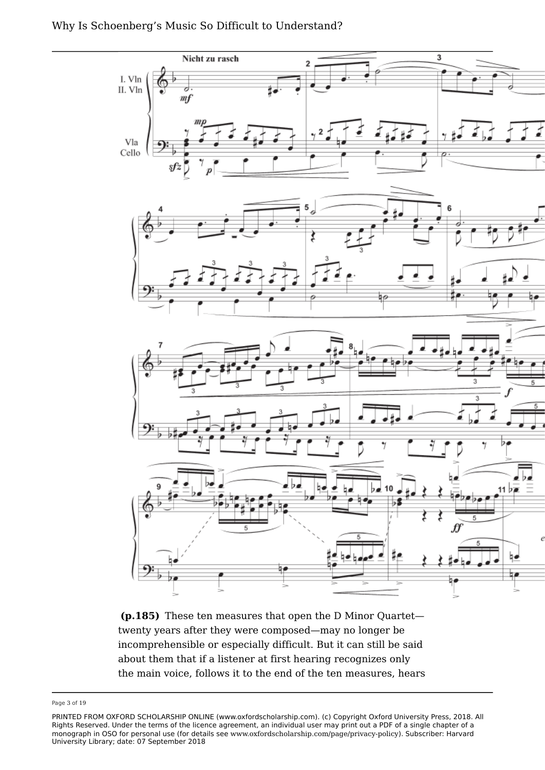### Why Is Schoenberg's Music So Difficult to Understand?



 **(p.185)** These ten measures that open the D Minor Quartet twenty years after they were composed—may no longer be incomprehensible or especially difficult. But it can still be said about them that if a listener at first hearing recognizes only the main voice, follows it to the end of the ten measures, hears

Page 3 of 19

PRINTED FROM OXFORD SCHOLARSHIP ONLINE (www.oxfordscholarship.com). (c) Copyright Oxford University Press, 2018. All Rights Reserved. Under the terms of the licence agreement, an individual user may print out a PDF of a single chapter of a monograph in OSO for personal use (for details see www.oxfordscholarship.com/page/privacy-policy). Subscriber: Harvard University Library; date: 07 September 2018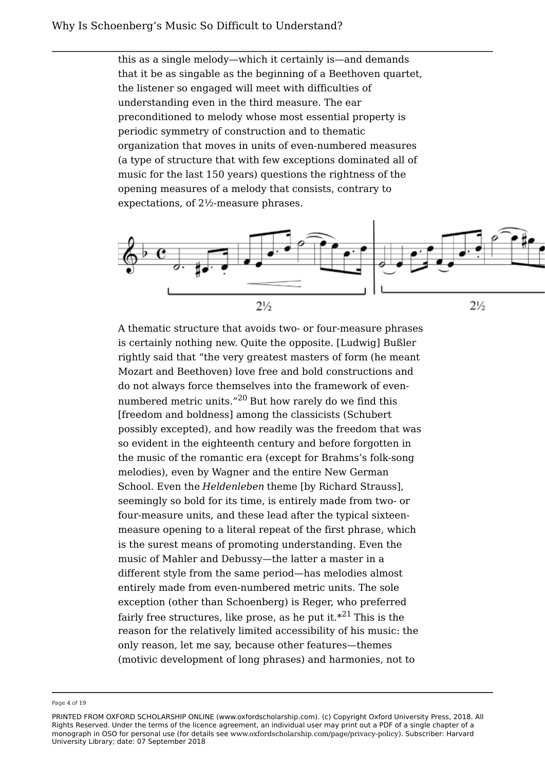this as a single melody—which it certainly is—and demands that it be as singable as the beginning of a Beethoven quartet, the listener so engaged will meet with difficulties of understanding even in the third measure. The ear preconditioned to melody whose most essential property is periodic symmetry of construction and to thematic organization that moves in units of even-numbered measures (a type of structure that with few exceptions dominated all of music for the last 150 years) questions the rightness of the opening measures of a melody that consists, contrary to expectations, of 2½-measure phrases.



A thematic structure that avoids two- or four-measure phrases is certainly nothing new. Quite the opposite. [Ludwig] Bußler rightly said that "the very greatest masters of form (he meant Mozart and Beethoven) love free and bold constructions and do not always force themselves into the framework of evennumbered metric units."<sup>20</sup> But how rarely do we find this [freedom and boldness] among the classicists (Schubert possibly excepted), and how readily was the freedom that was so evident in the eighteenth century and before forgotten in the music of the romantic era (except for Brahms's folk-song melodies), even by Wagner and the entire New German School. Even the *Heldenleben* theme [by Richard Strauss], seemingly so bold for its time, is entirely made from two- or four-measure units, and these lead after the typical sixteenmeasure opening to a literal repeat of the first phrase, which is the surest means of promoting understanding. Even the music of Mahler and Debussy—the latter a master in a different style from the same period—has melodies almost entirely made from even-numbered metric units. The sole exception (other than Schoenberg) is Reger, who preferred fairly free structures, like prose, as he put it. $^{\ast 21}$  This is the reason for the relatively limited accessibility of his music: the only reason, let me say, because other features—themes (motivic development of long phrases) and harmonies, not to

Page 4 of 19

PRINTED FROM OXFORD SCHOLARSHIP ONLINE (www.oxfordscholarship.com). (c) Copyright Oxford University Press, 2018. All Rights Reserved. Under the terms of the licence agreement, an individual user may print out a PDF of a single chapter of a monograph in OSO for personal use (for details see www.oxfordscholarship.com/page/privacy-policy). Subscriber: Harvard University Library; date: 07 September 2018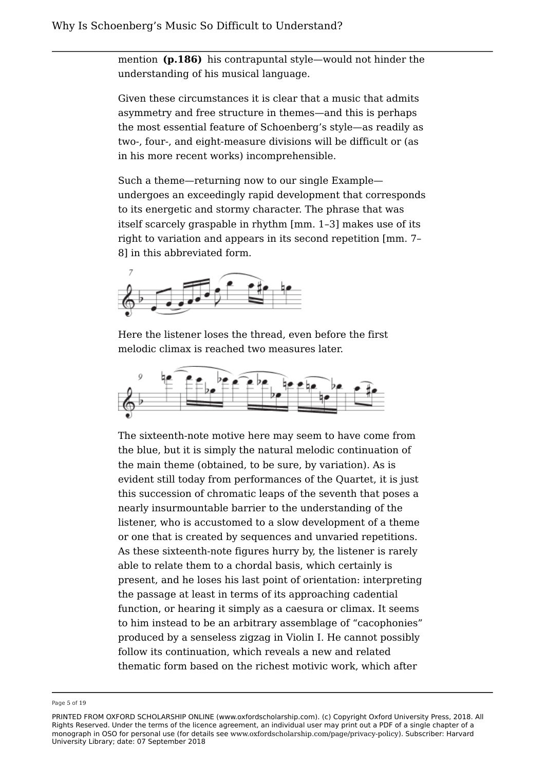mention **(p.186)** his contrapuntal style—would not hinder the understanding of his musical language.

Given these circumstances it is clear that a music that admits asymmetry and free structure in themes—and this is perhaps the most essential feature of Schoenberg's style—as readily as two-, four-, and eight-measure divisions will be difficult or (as in his more recent works) incomprehensible.

Such a theme—returning now to our single Example undergoes an exceedingly rapid development that corresponds to its energetic and stormy character. The phrase that was itself scarcely graspable in rhythm [mm. 1–3] makes use of its right to variation and appears in its second repetition [mm. 7– 8] in this abbreviated form.



Here the listener loses the thread, even before the first melodic climax is reached two measures later.



The sixteenth-note motive here may seem to have come from the blue, but it is simply the natural melodic continuation of the main theme (obtained, to be sure, by variation). As is evident still today from performances of the Quartet, it is just this succession of chromatic leaps of the seventh that poses a nearly insurmountable barrier to the understanding of the listener, who is accustomed to a slow development of a theme or one that is created by sequences and unvaried repetitions. As these sixteenth-note figures hurry by, the listener is rarely able to relate them to a chordal basis, which certainly is present, and he loses his last point of orientation: interpreting the passage at least in terms of its approaching cadential function, or hearing it simply as a caesura or climax. It seems to him instead to be an arbitrary assemblage of "cacophonies" produced by a senseless zigzag in Violin I. He cannot possibly follow its continuation, which reveals a new and related thematic form based on the richest motivic work, which after

Page 5 of 19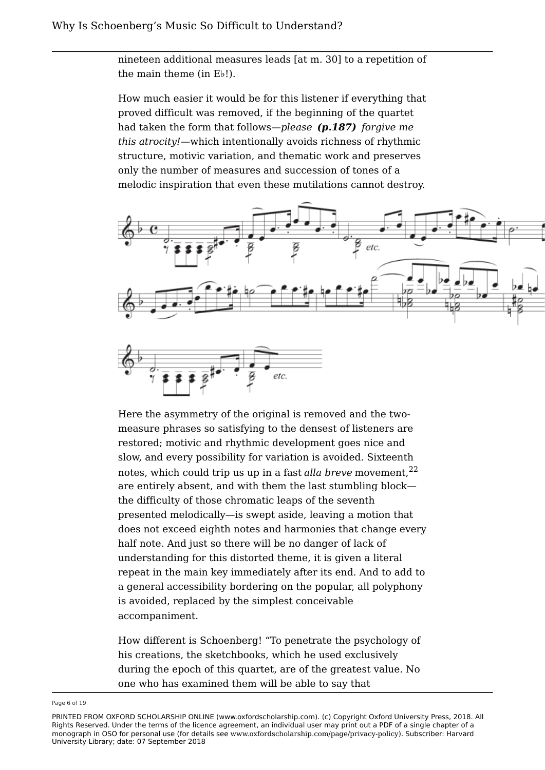nineteen additional measures leads [at m. 30] to a repetition of the main theme (in E♭!).

How much easier it would be for this listener if everything that proved difficult was removed, if the beginning of the quartet had taken the form that follows—*please (p.187) forgive me this atrocity!*—which intentionally avoids richness of rhythmic structure, motivic variation, and thematic work and preserves only the number of measures and succession of tones of a melodic inspiration that even these mutilations cannot destroy.



Here the asymmetry of the original is removed and the twomeasure phrases so satisfying to the densest of listeners are restored; motivic and rhythmic development goes nice and slow, and every possibility for variation is avoided. Sixteenth notes, which could trip us up in a fast *alla breve* movement,<sup>22</sup> are entirely absent, and with them the last stumbling block the difficulty of those chromatic leaps of the seventh presented melodically—is swept aside, leaving a motion that does not exceed eighth notes and harmonies that change every half note. And just so there will be no danger of lack of understanding for this distorted theme, it is given a literal repeat in the main key immediately after its end. And to add to a general accessibility bordering on the popular, all polyphony is avoided, replaced by the simplest conceivable accompaniment.

How different is Schoenberg! "To penetrate the psychology of his creations, the sketchbooks, which he used exclusively during the epoch of this quartet, are of the greatest value. No one who has examined them will be able to say that

Page 6 of 19

PRINTED FROM OXFORD SCHOLARSHIP ONLINE (www.oxfordscholarship.com). (c) Copyright Oxford University Press, 2018. All Rights Reserved. Under the terms of the licence agreement, an individual user may print out a PDF of a single chapter of a monograph in OSO for personal use (for details see www.oxfordscholarship.com/page/privacy-policy). Subscriber: Harvard University Library; date: 07 September 2018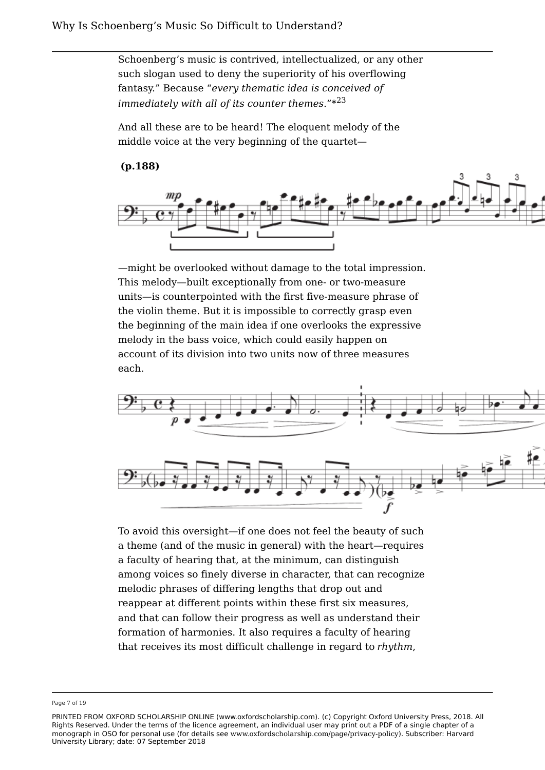Schoenberg's music is contrived, intellectualized, or any other such slogan used to deny the superiority of his overflowing fantasy." Because "*every thematic idea is conceived of immediately with all of its counter themes*."\* 23

And all these are to be heard! The eloquent melody of the middle voice at the very beginning of the quartet—

#### **(p.188)**



—might be overlooked without damage to the total impression. This melody—built exceptionally from one- or two-measure units—is counterpointed with the first five-measure phrase of the violin theme. But it is impossible to correctly grasp even the beginning of the main idea if one overlooks the expressive melody in the bass voice, which could easily happen on account of its division into two units now of three measures each.



To avoid this oversight—if one does not feel the beauty of such a theme (and of the music in general) with the heart—requires a faculty of hearing that, at the minimum, can distinguish among voices so finely diverse in character, that can recognize melodic phrases of differing lengths that drop out and reappear at different points within these first six measures, and that can follow their progress as well as understand their formation of harmonies. It also requires a faculty of hearing that receives its most difficult challenge in regard to *rhythm*,

Page 7 of 19

PRINTED FROM OXFORD SCHOLARSHIP ONLINE (www.oxfordscholarship.com). (c) Copyright Oxford University Press, 2018. All Rights Reserved. Under the terms of the licence agreement, an individual user may print out a PDF of a single chapter of a monograph in OSO for personal use (for details see www.oxfordscholarship.com/page/privacy-policy). Subscriber: Harvard University Library; date: 07 September 2018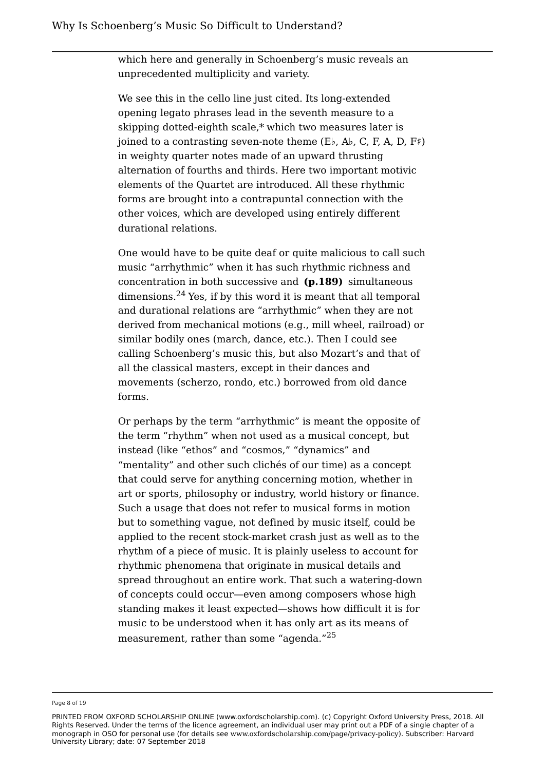which here and generally in Schoenberg's music reveals an unprecedented multiplicity and variety.

We see this in the cello line just cited. Its long-extended opening legato phrases lead in the seventh measure to a skipping dotted-eighth scale,\* which two measures later is joined to a contrasting seven-note theme  $(E_b, Ab, C, F, A, D, F*)$ in weighty quarter notes made of an upward thrusting alternation of fourths and thirds. Here two important motivic elements of the Quartet are introduced. All these rhythmic forms are brought into a contrapuntal connection with the other voices, which are developed using entirely different durational relations.

One would have to be quite deaf or quite malicious to call such music "arrhythmic" when it has such rhythmic richness and concentration in both successive and **(p.189)** simultaneous dimensions.<sup>24</sup> Yes, if by this word it is meant that all temporal and durational relations are "arrhythmic" when they are not derived from mechanical motions (e.g., mill wheel, railroad) or similar bodily ones (march, dance, etc.). Then I could see calling Schoenberg's music this, but also Mozart's and that of all the classical masters, except in their dances and movements (scherzo, rondo, etc.) borrowed from old dance forms.

Or perhaps by the term "arrhythmic" is meant the opposite of the term "rhythm" when not used as a musical concept, but instead (like "ethos" and "cosmos," "dynamics" and "mentality" and other such clichés of our time) as a concept that could serve for anything concerning motion, whether in art or sports, philosophy or industry, world history or finance. Such a usage that does not refer to musical forms in motion but to something vague, not defined by music itself, could be applied to the recent stock-market crash just as well as to the rhythm of a piece of music. It is plainly useless to account for rhythmic phenomena that originate in musical details and spread throughout an entire work. That such a watering-down of concepts could occur—even among composers whose high standing makes it least expected—shows how difficult it is for music to be understood when it has only art as its means of measurement, rather than some "agenda."<sup>25</sup>

Page 8 of 19

PRINTED FROM OXFORD SCHOLARSHIP ONLINE (www.oxfordscholarship.com). (c) Copyright Oxford University Press, 2018. All Rights Reserved. Under the terms of the licence agreement, an individual user may print out a PDF of a single chapter of a monograph in OSO for personal use (for details see www.oxfordscholarship.com/page/privacy-policy). Subscriber: Harvard University Library; date: 07 September 2018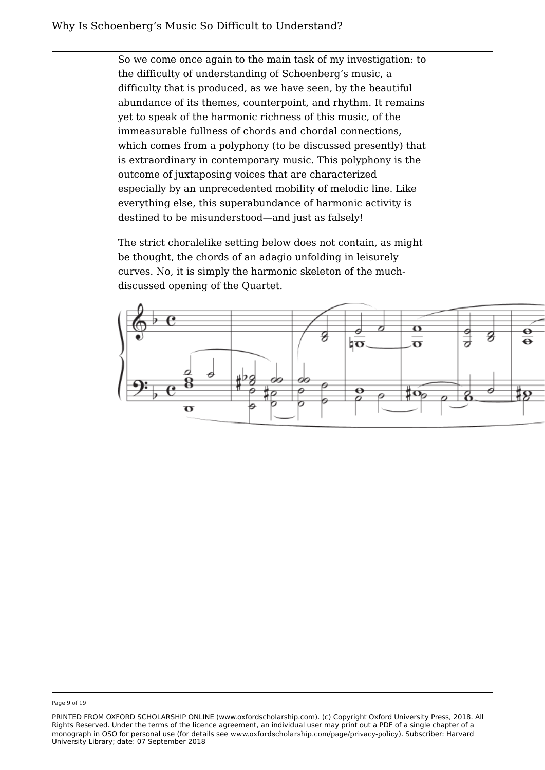So we come once again to the main task of my investigation: to the difficulty of understanding of Schoenberg's music, a difficulty that is produced, as we have seen, by the beautiful abundance of its themes, counterpoint, and rhythm. It remains yet to speak of the harmonic richness of this music, of the immeasurable fullness of chords and chordal connections, which comes from a polyphony (to be discussed presently) that is extraordinary in contemporary music. This polyphony is the outcome of juxtaposing voices that are characterized especially by an unprecedented mobility of melodic line. Like everything else, this superabundance of harmonic activity is destined to be misunderstood—and just as falsely!

The strict choralelike setting below does not contain, as might be thought, the chords of an adagio unfolding in leisurely curves. No, it is simply the harmonic skeleton of the muchdiscussed opening of the Quartet.



Page 9 of 19

PRINTED FROM OXFORD SCHOLARSHIP ONLINE (www.oxfordscholarship.com). (c) Copyright Oxford University Press, 2018. All Rights Reserved. Under the terms of the licence agreement, an individual user may print out a PDF of a single chapter of a monograph in OSO for personal use (for details see www.oxfordscholarship.com/page/privacy-policy). Subscriber: Harvard University Library; date: 07 September 2018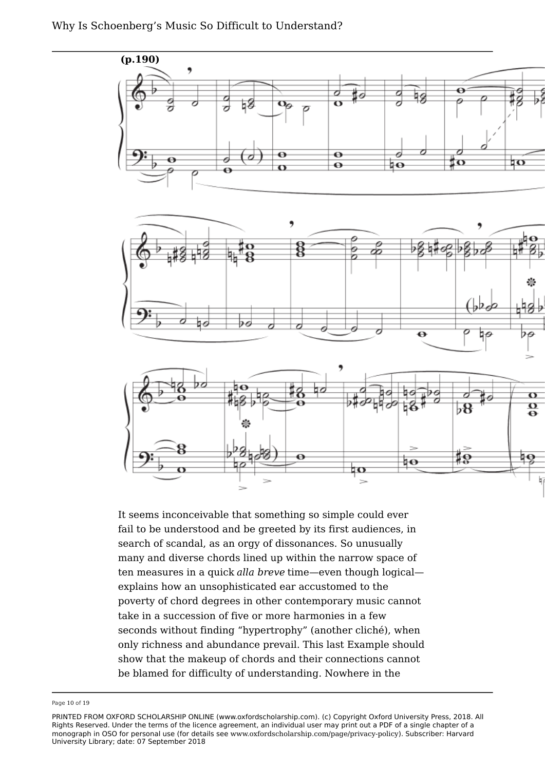



It seems inconceivable that something so simple could ever fail to be understood and be greeted by its first audiences, in search of scandal, as an orgy of dissonances. So unusually many and diverse chords lined up within the narrow space of ten measures in a quick *alla breve* time—even though logical explains how an unsophisticated ear accustomed to the poverty of chord degrees in other contemporary music cannot take in a succession of five or more harmonies in a few seconds without finding "hypertrophy" (another cliché), when only richness and abundance prevail. This last Example should show that the makeup of chords and their connections cannot be blamed for difficulty of understanding. Nowhere in the

Page 10 of 19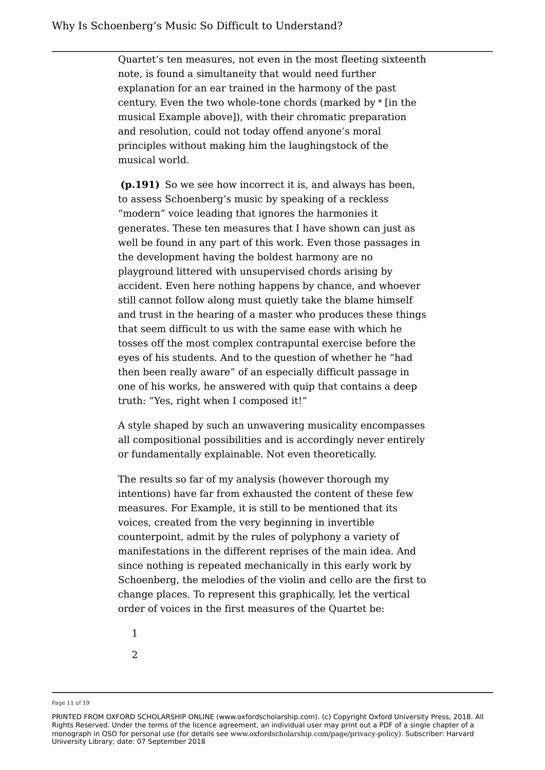Quartet's ten measures, not even in the most fleeting sixteenth note, is found a simultaneity that would need further explanation for an ear trained in the harmony of the past century. Even the two whole-tone chords (marked by  $*$  [in the musical Example above]), with their chromatic preparation and resolution, could not today offend anyone's moral principles without making him the laughingstock of the musical world.

 **(p.191)** So we see how incorrect it is, and always has been, to assess Schoenberg's music by speaking of a reckless "modern" voice leading that ignores the harmonies it generates. These ten measures that I have shown can just as well be found in any part of this work. Even those passages in the development having the boldest harmony are no playground littered with unsupervised chords arising by accident. Even here nothing happens by chance, and whoever still cannot follow along must quietly take the blame himself and trust in the hearing of a master who produces these things that seem difficult to us with the same ease with which he tosses off the most complex contrapuntal exercise before the eyes of his students. And to the question of whether he "had then been really aware" of an especially difficult passage in one of his works, he answered with quip that contains a deep truth: "Yes, right when I composed it!"

A style shaped by such an unwavering musicality encompasses all compositional possibilities and is accordingly never entirely or fundamentally explainable. Not even theoretically.

The results so far of my analysis (however thorough my intentions) have far from exhausted the content of these few measures. For Example, it is still to be mentioned that its voices, created from the very beginning in invertible counterpoint, admit by the rules of polyphony a variety of manifestations in the different reprises of the main idea. And since nothing is repeated mechanically in this early work by Schoenberg, the melodies of the violin and cello are the first to change places. To represent this graphically, let the vertical order of voices in the first measures of the Quartet be:

1

2

Page 11 of 19

PRINTED FROM OXFORD SCHOLARSHIP ONLINE (www.oxfordscholarship.com). (c) Copyright Oxford University Press, 2018. All Rights Reserved. Under the terms of the licence agreement, an individual user may print out a PDF of a single chapter of a monograph in OSO for personal use (for details see www.oxfordscholarship.com/page/privacy-policy). Subscriber: Harvard University Library; date: 07 September 2018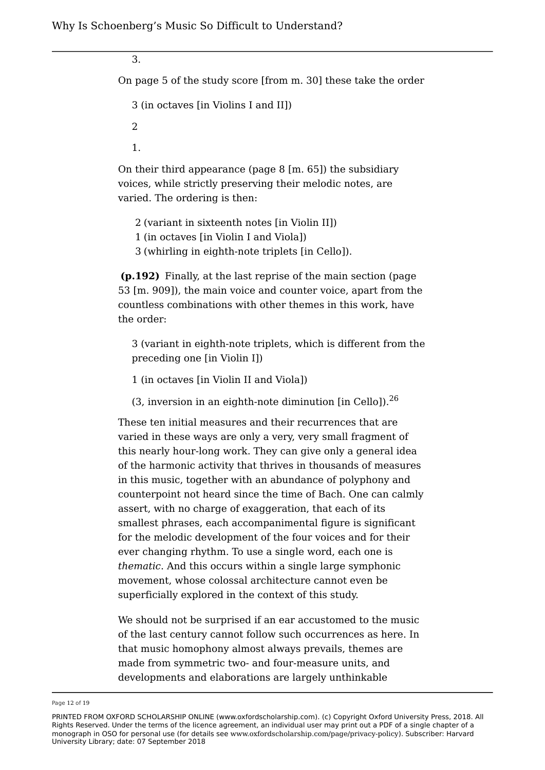3.

On page 5 of the study score [from m. 30] these take the order

3 (in octaves [in Violins I and II]) 2 a *z* a *z* a *z* a *z* a *z* a *z* a *z* a *z* a *z* a *z* a *z* a *z* a *z* a *z* a *z* a *z* 1.

On their third appearance (page 8 [m. 65]) the subsidiary voices, while strictly preserving their melodic notes, are varied. The ordering is then:

2 (variant in sixteenth notes [in Violin II])

- 1 (in octaves [in Violin I and Viola])
- 3 (whirling in eighth-note triplets [in Cello]).

 **(p.192)** Finally, at the last reprise of the main section (page 53 [m. 909]), the main voice and counter voice, apart from the countless combinations with other themes in this work, have the order:

3 (variant in eighth-note triplets, which is different from the preceding one [in Violin I])

- 1 (in octaves [in Violin II and Viola])
- (3, inversion in an eighth-note diminution  $\left[$ in Cello $\right]$ ).<sup>26</sup>

These ten initial measures and their recurrences that are varied in these ways are only a very, very small fragment of this nearly hour-long work. They can give only a general idea of the harmonic activity that thrives in thousands of measures in this music, together with an abundance of polyphony and counterpoint not heard since the time of Bach. One can calmly assert, with no charge of exaggeration, that each of its smallest phrases, each accompanimental figure is significant for the melodic development of the four voices and for their ever changing rhythm. To use a single word, each one is *thematic*. And this occurs within a single large symphonic movement, whose colossal architecture cannot even be superficially explored in the context of this study.

We should not be surprised if an ear accustomed to the music of the last century cannot follow such occurrences as here. In that music homophony almost always prevails, themes are made from symmetric two- and four-measure units, and developments and elaborations are largely unthinkable

Page 12 of 19

PRINTED FROM OXFORD SCHOLARSHIP ONLINE (www.oxfordscholarship.com). (c) Copyright Oxford University Press, 2018. All Rights Reserved. Under the terms of the licence agreement, an individual user may print out a PDF of a single chapter of a monograph in OSO for personal use (for details see www.oxfordscholarship.com/page/privacy-policy). Subscriber: Harvard University Library; date: 07 September 2018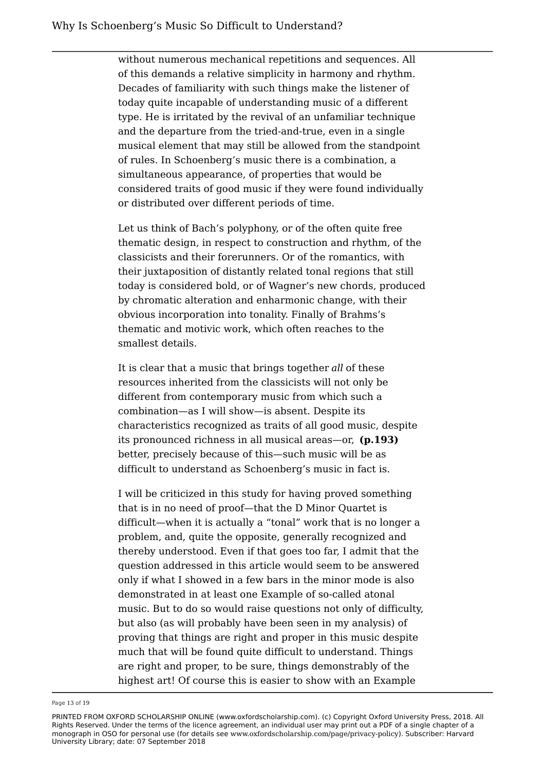without numerous mechanical repetitions and sequences. All of this demands a relative simplicity in harmony and rhythm. Decades of familiarity with such things make the listener of today quite incapable of understanding music of a different type. He is irritated by the revival of an unfamiliar technique and the departure from the tried-and-true, even in a single musical element that may still be allowed from the standpoint of rules. In Schoenberg's music there is a combination, a simultaneous appearance, of properties that would be considered traits of good music if they were found individually or distributed over different periods of time.

Let us think of Bach's polyphony, or of the often quite free thematic design, in respect to construction and rhythm, of the classicists and their forerunners. Or of the romantics, with their juxtaposition of distantly related tonal regions that still today is considered bold, or of Wagner's new chords, produced by chromatic alteration and enharmonic change, with their obvious incorporation into tonality. Finally of Brahms's thematic and motivic work, which often reaches to the smallest details.

It is clear that a music that brings together *all* of these resources inherited from the classicists will not only be different from contemporary music from which such a combination—as I will show—is absent. Despite its characteristics recognized as traits of all good music, despite its pronounced richness in all musical areas—or, **(p.193)** better, precisely because of this—such music will be as difficult to understand as Schoenberg's music in fact is.

I will be criticized in this study for having proved something that is in no need of proof—that the D Minor Quartet is difficult—when it is actually a "tonal" work that is no longer a problem, and, quite the opposite, generally recognized and thereby understood. Even if that goes too far, I admit that the question addressed in this article would seem to be answered only if what I showed in a few bars in the minor mode is also demonstrated in at least one Example of so-called atonal music. But to do so would raise questions not only of difficulty, but also (as will probably have been seen in my analysis) of proving that things are right and proper in this music despite much that will be found quite difficult to understand. Things are right and proper, to be sure, things demonstrably of the highest art! Of course this is easier to show with an Example

Page 13 of 19

PRINTED FROM OXFORD SCHOLARSHIP ONLINE (www.oxfordscholarship.com). (c) Copyright Oxford University Press, 2018. All Rights Reserved. Under the terms of the licence agreement, an individual user may print out a PDF of a single chapter of a monograph in OSO for personal use (for details see www.oxfordscholarship.com/page/privacy-policy). Subscriber: Harvard University Library; date: 07 September 2018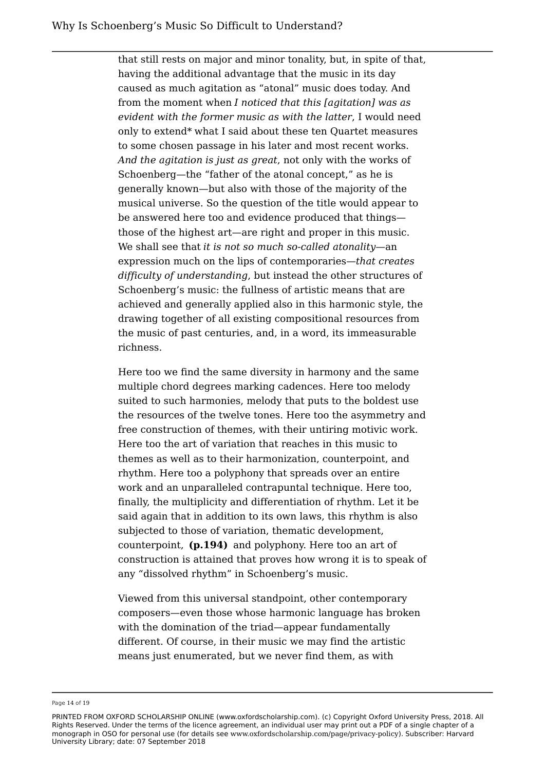that still rests on major and minor tonality, but, in spite of that, having the additional advantage that the music in its day caused as much agitation as "atonal" music does today. And from the moment when *I noticed that this [agitation] was as evident with the former music as with the latter*, I would need only to extend\* what I said about these ten Quartet measures to some chosen passage in his later and most recent works. *And the agitation is just as great*, not only with the works of Schoenberg—the "father of the atonal concept," as he is generally known—but also with those of the majority of the musical universe. So the question of the title would appear to be answered here too and evidence produced that things those of the highest art—are right and proper in this music. We shall see that *it is not so much so-called atonality*—an expression much on the lips of contemporaries—*that creates difficulty of understanding*, but instead the other structures of Schoenberg's music: the fullness of artistic means that are achieved and generally applied also in this harmonic style, the drawing together of all existing compositional resources from the music of past centuries, and, in a word, its immeasurable richness.

Here too we find the same diversity in harmony and the same multiple chord degrees marking cadences. Here too melody suited to such harmonies, melody that puts to the boldest use the resources of the twelve tones. Here too the asymmetry and free construction of themes, with their untiring motivic work. Here too the art of variation that reaches in this music to themes as well as to their harmonization, counterpoint, and rhythm. Here too a polyphony that spreads over an entire work and an unparalleled contrapuntal technique. Here too, finally, the multiplicity and differentiation of rhythm. Let it be said again that in addition to its own laws, this rhythm is also subjected to those of variation, thematic development, counterpoint, **(p.194)** and polyphony. Here too an art of construction is attained that proves how wrong it is to speak of any "dissolved rhythm" in Schoenberg's music.

Viewed from this universal standpoint, other contemporary composers—even those whose harmonic language has broken with the domination of the triad—appear fundamentally different. Of course, in their music we may find the artistic means just enumerated, but we never find them, as with

Page 14 of 19

PRINTED FROM OXFORD SCHOLARSHIP ONLINE (www.oxfordscholarship.com). (c) Copyright Oxford University Press, 2018. All Rights Reserved. Under the terms of the licence agreement, an individual user may print out a PDF of a single chapter of a monograph in OSO for personal use (for details see www.oxfordscholarship.com/page/privacy-policy). Subscriber: Harvard University Library; date: 07 September 2018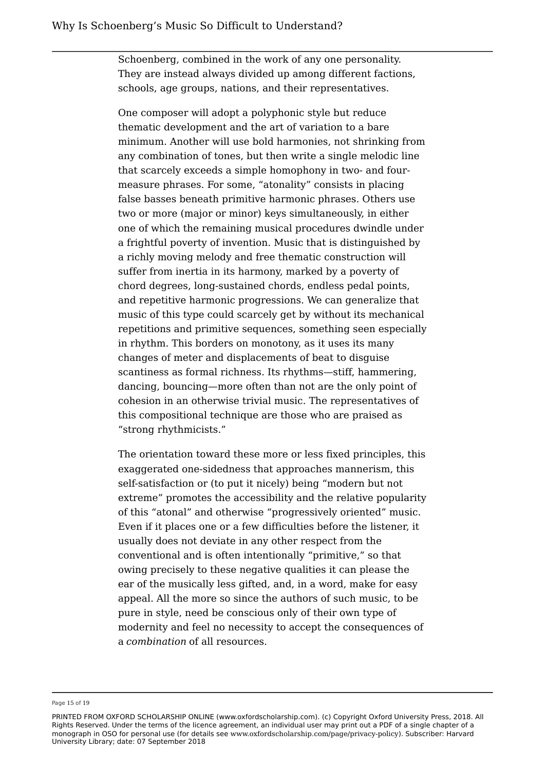Schoenberg, combined in the work of any one personality. They are instead always divided up among different factions, schools, age groups, nations, and their representatives.

One composer will adopt a polyphonic style but reduce thematic development and the art of variation to a bare minimum. Another will use bold harmonies, not shrinking from any combination of tones, but then write a single melodic line that scarcely exceeds a simple homophony in two- and fourmeasure phrases. For some, "atonality" consists in placing false basses beneath primitive harmonic phrases. Others use two or more (major or minor) keys simultaneously, in either one of which the remaining musical procedures dwindle under a frightful poverty of invention. Music that is distinguished by a richly moving melody and free thematic construction will suffer from inertia in its harmony, marked by a poverty of chord degrees, long-sustained chords, endless pedal points, and repetitive harmonic progressions. We can generalize that music of this type could scarcely get by without its mechanical repetitions and primitive sequences, something seen especially in rhythm. This borders on monotony, as it uses its many changes of meter and displacements of beat to disguise scantiness as formal richness. Its rhythms—stiff, hammering, dancing, bouncing—more often than not are the only point of cohesion in an otherwise trivial music. The representatives of this compositional technique are those who are praised as "strong rhythmicists."

The orientation toward these more or less fixed principles, this exaggerated one-sidedness that approaches mannerism, this self-satisfaction or (to put it nicely) being "modern but not extreme" promotes the accessibility and the relative popularity of this "atonal" and otherwise "progressively oriented" music. Even if it places one or a few difficulties before the listener, it usually does not deviate in any other respect from the conventional and is often intentionally "primitive," so that owing precisely to these negative qualities it can please the ear of the musically less gifted, and, in a word, make for easy appeal. All the more so since the authors of such music, to be pure in style, need be conscious only of their own type of modernity and feel no necessity to accept the consequences of a *combination* of all resources.

Page 15 of 19

PRINTED FROM OXFORD SCHOLARSHIP ONLINE (www.oxfordscholarship.com). (c) Copyright Oxford University Press, 2018. All Rights Reserved. Under the terms of the licence agreement, an individual user may print out a PDF of a single chapter of a monograph in OSO for personal use (for details see www.oxfordscholarship.com/page/privacy-policy). Subscriber: Harvard University Library; date: 07 September 2018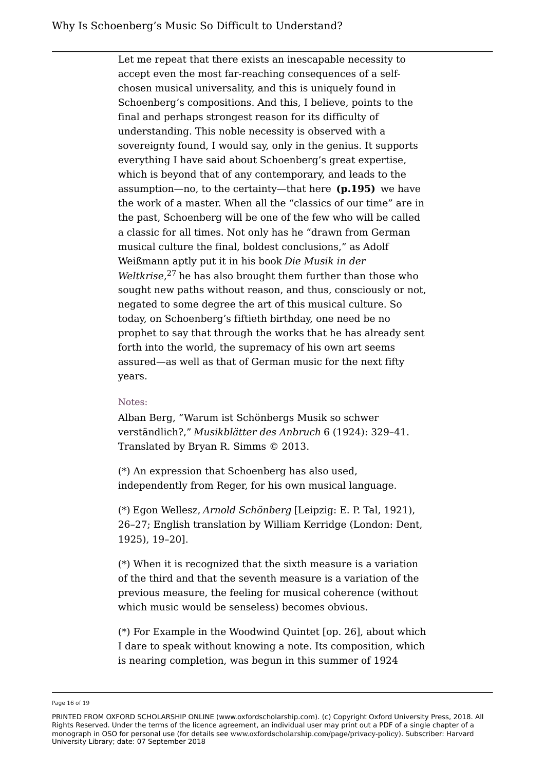Let me repeat that there exists an inescapable necessity to accept even the most far-reaching consequences of a selfchosen musical universality, and this is uniquely found in Schoenberg's compositions. And this, I believe, points to the final and perhaps strongest reason for its difficulty of understanding. This noble necessity is observed with a sovereignty found, I would say, only in the genius. It supports everything I have said about Schoenberg's great expertise, which is beyond that of any contemporary, and leads to the assumption—no, to the certainty—that here **(p.195)** we have the work of a master. When all the "classics of our time" are in the past, Schoenberg will be one of the few who will be called a classic for all times. Not only has he "drawn from German musical culture the final, boldest conclusions," as Adolf Weißmann aptly put it in his book *Die Musik in der Weltkrise*<sup>27</sup> he has also brought them further than those who sought new paths without reason, and thus, consciously or not, negated to some degree the art of this musical culture. So today, on Schoenberg's fiftieth birthday, one need be no prophet to say that through the works that he has already sent forth into the world, the supremacy of his own art seems assured—as well as that of German music for the next fifty years.

#### Notes:

Alban Berg, "Warum ist Schönbergs Musik so schwer verständlich?," *Musikblätter des Anbruch* 6 (1924): 329–41. Translated by Bryan R. Simms © 2013.

(\*) An expression that Schoenberg has also used, independently from Reger, for his own musical language.

(\*) Egon Wellesz, *Arnold Schönberg* [Leipzig: E. P. Tal, 1921), 26–27; English translation by William Kerridge (London: Dent, 1925), 19–20].

(\*) When it is recognized that the sixth measure is a variation of the third and that the seventh measure is a variation of the previous measure, the feeling for musical coherence (without which music would be senseless) becomes obvious.

(\*) For Example in the Woodwind Quintet [op. 26], about which I dare to speak without knowing a note. Its composition, which is nearing completion, was begun in this summer of 1924

Page 16 of 19

PRINTED FROM OXFORD SCHOLARSHIP ONLINE (www.oxfordscholarship.com). (c) Copyright Oxford University Press, 2018. All Rights Reserved. Under the terms of the licence agreement, an individual user may print out a PDF of a single chapter of a monograph in OSO for personal use (for details see www.oxfordscholarship.com/page/privacy-policy). Subscriber: Harvard University Library; date: 07 September 2018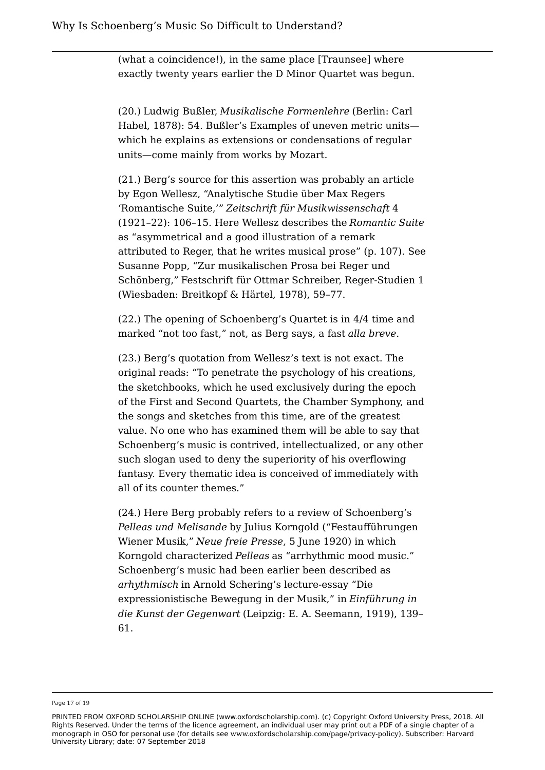(what a coincidence!), in the same place [Traunsee] where exactly twenty years earlier the D Minor Quartet was begun.

(20.) Ludwig Bußler, *Musikalische Formenlehre* (Berlin: Carl Habel, 1878): 54. Bußler's Examples of uneven metric units which he explains as extensions or condensations of regular units—come mainly from works by Mozart.

(21.) Berg's source for this assertion was probably an article by Egon Wellesz, "Analytische Studie über Max Regers 'Romantische Suite,'" *Zeitschrift für Musikwissenschaft* 4 (1921–22): 106–15. Here Wellesz describes the *Romantic Suite* as "asymmetrical and a good illustration of a remark attributed to Reger, that he writes musical prose" (p. 107). See Susanne Popp, "Zur musikalischen Prosa bei Reger und Schönberg," Festschrift für Ottmar Schreiber, Reger-Studien 1 (Wiesbaden: Breitkopf & Härtel, 1978), 59–77.

(22.) The opening of Schoenberg's Quartet is in 4/4 time and marked "not too fast," not, as Berg says, a fast *alla breve*.

(23.) Berg's quotation from Wellesz's text is not exact. The original reads: "To penetrate the psychology of his creations, the sketchbooks, which he used exclusively during the epoch of the First and Second Quartets, the Chamber Symphony, and the songs and sketches from this time, are of the greatest value. No one who has examined them will be able to say that Schoenberg's music is contrived, intellectualized, or any other such slogan used to deny the superiority of his overflowing fantasy. Every thematic idea is conceived of immediately with all of its counter themes."

(24.) Here Berg probably refers to a review of Schoenberg's *Pelleas und Melisande* by Julius Korngold ("Festaufführungen Wiener Musik," *Neue freie Presse*, 5 June 1920) in which Korngold characterized *Pelleas* as "arrhythmic mood music." Schoenberg's music had been earlier been described as *arhythmisch* in Arnold Schering's lecture-essay "Die expressionistische Bewegung in der Musik," in *Einführung in die Kunst der Gegenwart* (Leipzig: E. A. Seemann, 1919), 139– 61.

Page 17 of 19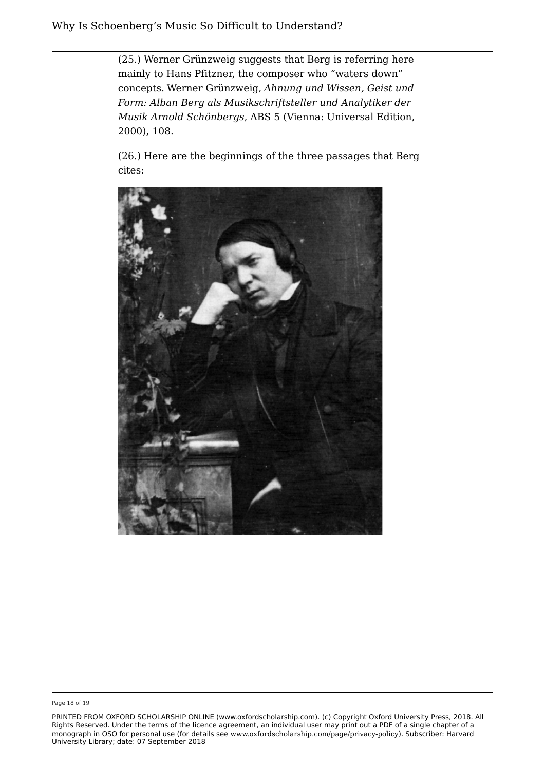(25.) Werner Grünzweig suggests that Berg is referring here mainly to Hans Pfitzner, the composer who "waters down" concepts. Werner Grünzweig, *Ahnung und Wissen, Geist und Form: Alban Berg als Musikschriftsteller und Analytiker der Musik Arnold Schönbergs*, ABS 5 (Vienna: Universal Edition, 2000), 108.

(26.) Here are the beginnings of the three passages that Berg cites:



Page 18 of 19